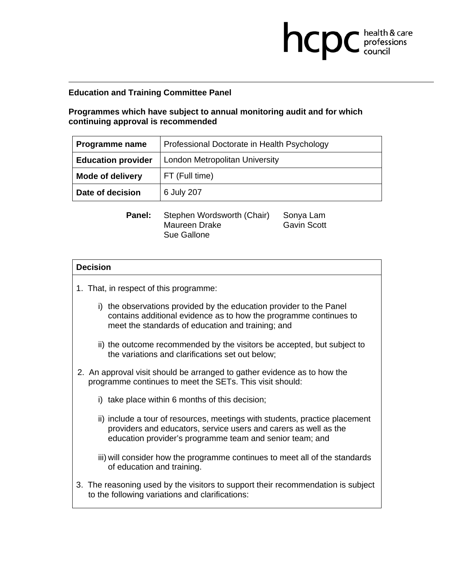## **Education and Training Committee Panel**

## **Programmes which have subject to annual monitoring audit and for which continuing approval is recommended**

| Programme name            | Professional Doctorate in Health Psychology |  |
|---------------------------|---------------------------------------------|--|
| <b>Education provider</b> | <b>London Metropolitan University</b>       |  |
| <b>Mode of delivery</b>   | FT (Full time)                              |  |
| Date of decision          | 6 July 207                                  |  |

**health & care** 

Panel: Stephen Wordsworth (Chair) Sonya Lam Maureen Drake Sue Gallone Gavin Scott

### **Decision**

- 1. That, in respect of this programme:
	- i) the observations provided by the education provider to the Panel contains additional evidence as to how the programme continues to meet the standards of education and training; and
	- ii) the outcome recommended by the visitors be accepted, but subject to the variations and clarifications set out below;
- 2. An approval visit should be arranged to gather evidence as to how the programme continues to meet the SETs. This visit should:
	- i) take place within 6 months of this decision;
	- ii) include a tour of resources, meetings with students, practice placement providers and educators, service users and carers as well as the education provider's programme team and senior team; and
	- iii) will consider how the programme continues to meet all of the standards of education and training.
- 3. The reasoning used by the visitors to support their recommendation is subject to the following variations and clarifications: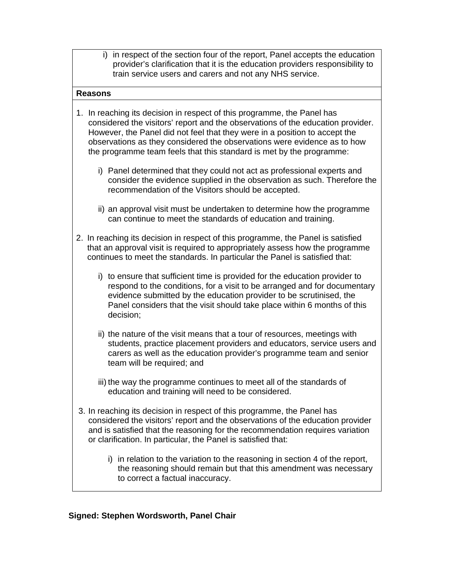i) in respect of the section four of the report, Panel accepts the education provider's clarification that it is the education providers responsibility to train service users and carers and not any NHS service.

### **Reasons**

- 1. In reaching its decision in respect of this programme, the Panel has considered the visitors' report and the observations of the education provider. However, the Panel did not feel that they were in a position to accept the observations as they considered the observations were evidence as to how the programme team feels that this standard is met by the programme:
	- i) Panel determined that they could not act as professional experts and consider the evidence supplied in the observation as such. Therefore the recommendation of the Visitors should be accepted.
	- ii) an approval visit must be undertaken to determine how the programme can continue to meet the standards of education and training.
- 2. In reaching its decision in respect of this programme, the Panel is satisfied that an approval visit is required to appropriately assess how the programme continues to meet the standards. In particular the Panel is satisfied that:
	- i) to ensure that sufficient time is provided for the education provider to respond to the conditions, for a visit to be arranged and for documentary evidence submitted by the education provider to be scrutinised, the Panel considers that the visit should take place within 6 months of this decision;
	- ii) the nature of the visit means that a tour of resources, meetings with students, practice placement providers and educators, service users and carers as well as the education provider's programme team and senior team will be required; and
	- iii) the way the programme continues to meet all of the standards of education and training will need to be considered.
- 3. In reaching its decision in respect of this programme, the Panel has considered the visitors' report and the observations of the education provider and is satisfied that the reasoning for the recommendation requires variation or clarification. In particular, the Panel is satisfied that:
	- i) in relation to the variation to the reasoning in section 4 of the report, the reasoning should remain but that this amendment was necessary to correct a factual inaccuracy.

# **Signed: Stephen Wordsworth, Panel Chair**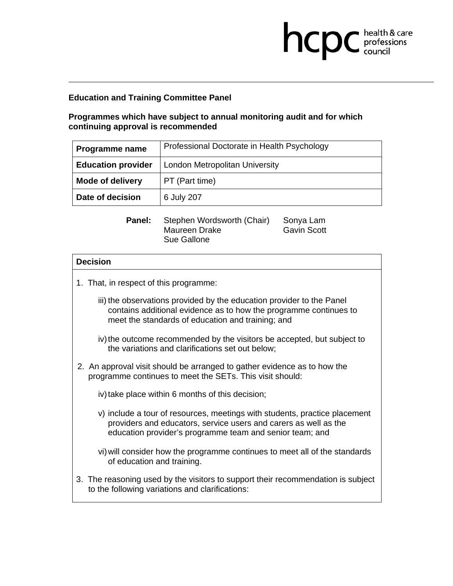# **Education and Training Committee Panel**

# **Programmes which have subject to annual monitoring audit and for which continuing approval is recommended**

| Programme name            | Professional Doctorate in Health Psychology |  |
|---------------------------|---------------------------------------------|--|
| <b>Education provider</b> | London Metropolitan University              |  |
| <b>Mode of delivery</b>   | PT (Part time)                              |  |
| Date of decision          | 6 July 207                                  |  |

**health & care** 

| Panel: | Stephen Wordsworth (Chair) | Sonya Lam          |
|--------|----------------------------|--------------------|
|        | Maureen Drake              | <b>Gavin Scott</b> |
|        | Sue Gallone                |                    |

# **Decision**  1. That, in respect of this programme: iii) the observations provided by the education provider to the Panel contains additional evidence as to how the programme continues to meet the standards of education and training; and iv) the outcome recommended by the visitors be accepted, but subject to the variations and clarifications set out below; 2. An approval visit should be arranged to gather evidence as to how the programme continues to meet the SETs. This visit should: iv) take place within 6 months of this decision; v) include a tour of resources, meetings with students, practice placement providers and educators, service users and carers as well as the education provider's programme team and senior team; and vi) will consider how the programme continues to meet all of the standards of education and training. 3. The reasoning used by the visitors to support their recommendation is subject to the following variations and clarifications: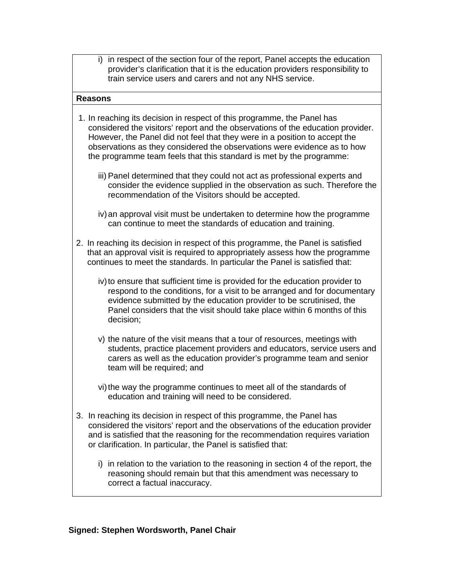i) in respect of the section four of the report, Panel accepts the education provider's clarification that it is the education providers responsibility to train service users and carers and not any NHS service.

### **Reasons**

- 1. In reaching its decision in respect of this programme, the Panel has considered the visitors' report and the observations of the education provider. However, the Panel did not feel that they were in a position to accept the observations as they considered the observations were evidence as to how the programme team feels that this standard is met by the programme:
	- iii) Panel determined that they could not act as professional experts and consider the evidence supplied in the observation as such. Therefore the recommendation of the Visitors should be accepted.
	- iv) an approval visit must be undertaken to determine how the programme can continue to meet the standards of education and training.
- 2. In reaching its decision in respect of this programme, the Panel is satisfied that an approval visit is required to appropriately assess how the programme continues to meet the standards. In particular the Panel is satisfied that:
	- iv) to ensure that sufficient time is provided for the education provider to respond to the conditions, for a visit to be arranged and for documentary evidence submitted by the education provider to be scrutinised, the Panel considers that the visit should take place within 6 months of this decision;
	- v) the nature of the visit means that a tour of resources, meetings with students, practice placement providers and educators, service users and carers as well as the education provider's programme team and senior team will be required; and
	- vi) the way the programme continues to meet all of the standards of education and training will need to be considered.
- 3. In reaching its decision in respect of this programme, the Panel has considered the visitors' report and the observations of the education provider and is satisfied that the reasoning for the recommendation requires variation or clarification. In particular, the Panel is satisfied that:
	- i) in relation to the variation to the reasoning in section 4 of the report, the reasoning should remain but that this amendment was necessary to correct a factual inaccuracy.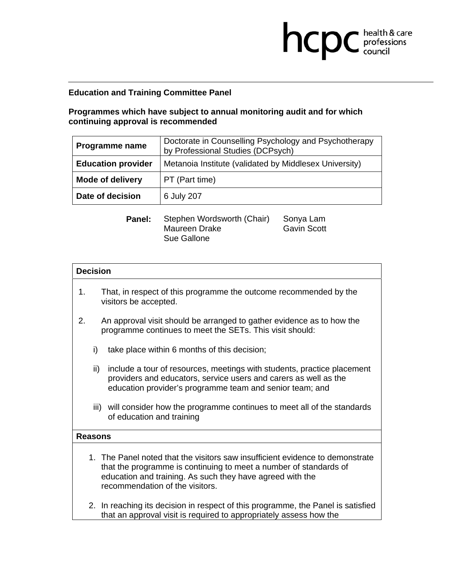## **Education and Training Committee Panel**

# **Programmes which have subject to annual monitoring audit and for which continuing approval is recommended**

| Doctorate in Counselling Psychology and Psychotherapy<br>by Professional Studies (DCPsych) |  |
|--------------------------------------------------------------------------------------------|--|
| <b>Education provider</b><br>Metanoia Institute (validated by Middlesex University)        |  |
| PT (Part time)                                                                             |  |
| 6 July 207                                                                                 |  |
|                                                                                            |  |

**health & care** 

| Panel: | Stephen Wordsworth (Chair) | Sonya Lam          |
|--------|----------------------------|--------------------|
|        | Maureen Drake              | <b>Gavin Scott</b> |
|        | Sue Gallone                |                    |

### **Decision**

- 1. That, in respect of this programme the outcome recommended by the visitors be accepted.
- 2. An approval visit should be arranged to gather evidence as to how the programme continues to meet the SETs. This visit should:
	- i) take place within 6 months of this decision;
	- ii) include a tour of resources, meetings with students, practice placement providers and educators, service users and carers as well as the education provider's programme team and senior team; and
	- iii) will consider how the programme continues to meet all of the standards of education and training

### **Reasons**

- 1. The Panel noted that the visitors saw insufficient evidence to demonstrate that the programme is continuing to meet a number of standards of education and training. As such they have agreed with the recommendation of the visitors.
- 2. In reaching its decision in respect of this programme, the Panel is satisfied that an approval visit is required to appropriately assess how the